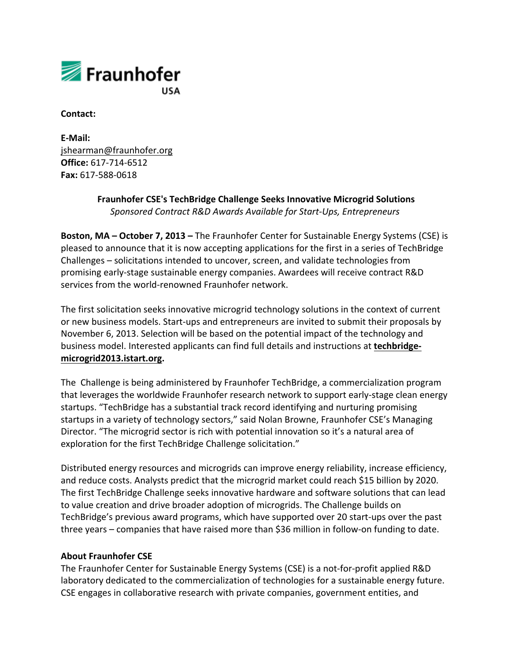

**Contact:**

**E-Mail:** jshearman@fraunhofer.org **Office:** 617-714-6512 **Fax:** 617-588-0618

## **Fraunhofer CSE's TechBridge Challenge Seeks Innovative Microgrid Solutions** *Sponsored Contract R&D Awards Available for Start-Ups, Entrepreneurs*

**Boston, MA – October 7, 2013 –** The Fraunhofer Center for Sustainable Energy Systems (CSE) is pleased to announce that it is now accepting applications for the first in a series of TechBridge Challenges – solicitations intended to uncover, screen, and validate technologies from promising early-stage sustainable energy companies. Awardees will receive contract R&D services from the world-renowned Fraunhofer network.

The first solicitation seeks innovative microgrid technology solutions in the context of current or new business models. Start-ups and entrepreneurs are invited to submit their proposals by November 6, 2013. Selection will be based on the potential impact of the technology and business model. Interested applicants can find full details and instructions at **techbridgemicrogrid2013.istart.org.**

The Challenge is being administered by Fraunhofer TechBridge, a commercialization program that leverages the worldwide Fraunhofer research network to support early-stage clean energy startups. "TechBridge has a substantial track record identifying and nurturing promising startups in a variety of technology sectors," said Nolan Browne, Fraunhofer CSE's Managing Director. "The microgrid sector is rich with potential innovation so it's a natural area of exploration for the first TechBridge Challenge solicitation."

Distributed energy resources and microgrids can improve energy reliability, increase efficiency, and reduce costs. Analysts predict that the microgrid market could reach \$15 billion by 2020. The first TechBridge Challenge seeks innovative hardware and software solutions that can lead to value creation and drive broader adoption of microgrids. The Challenge builds on TechBridge's previous award programs, which have supported over 20 start-ups over the past three years – companies that have raised more than \$36 million in follow-on funding to date.

## **About Fraunhofer CSE**

The Fraunhofer Center for Sustainable Energy Systems (CSE) is a not-for-profit applied R&D laboratory dedicated to the commercialization of technologies for a sustainable energy future. CSE engages in collaborative research with private companies, government entities, and